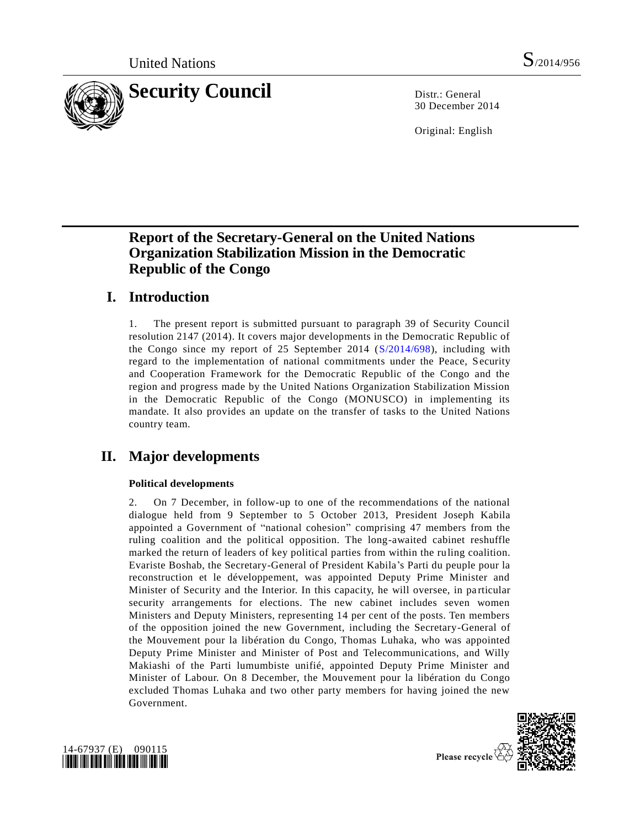

30 December 2014

Original: English

# **Report of the Secretary-General on the United Nations Organization Stabilization Mission in the Democratic Republic of the Congo**

## **I. Introduction**

1. The present report is submitted pursuant to paragraph 39 of Security Council resolution 2147 (2014). It covers major developments in the Democratic Republic of the Congo since my report of 25 September 2014 [\(S/2014/698\)](http://undocs.org/S/2014/698), including with regard to the implementation of national commitments under the Peace, Security and Cooperation Framework for the Democratic Republic of the Congo and the region and progress made by the United Nations Organization Stabilization Mission in the Democratic Republic of the Congo (MONUSCO) in implementing its mandate. It also provides an update on the transfer of tasks to the United Nations country team.

# **II. Major developments**

## **Political developments**

2. On 7 December, in follow-up to one of the recommendations of the national dialogue held from 9 September to 5 October 2013, President Joseph Kabila appointed a Government of "national cohesion" comprising 47 members from the ruling coalition and the political opposition. The long-awaited cabinet reshuffle marked the return of leaders of key political parties from within the ruling coalition. Evariste Boshab, the Secretary-General of President Kabila's Parti du peuple pour la reconstruction et le développement, was appointed Deputy Prime Minister and Minister of Security and the Interior. In this capacity, he will oversee, in particular security arrangements for elections. The new cabinet includes seven women Ministers and Deputy Ministers, representing 14 per cent of the posts. Ten members of the opposition joined the new Government, including the Secretary-General of the Mouvement pour la libération du Congo, Thomas Luhaka, who was appointed Deputy Prime Minister and Minister of Post and Telecommunications, and Willy Makiashi of the Parti lumumbiste unifié, appointed Deputy Prime Minister and Minister of Labour. On 8 December, the Mouvement pour la libération du Congo excluded Thomas Luhaka and two other party members for having joined the new Government.



Please recycle  $\overline{\mathbf{\langle}}$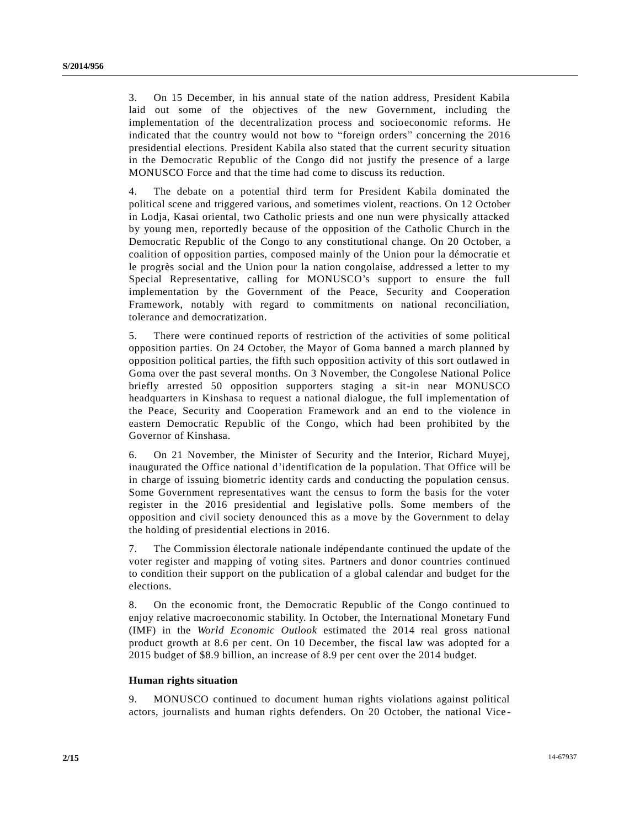3. On 15 December, in his annual state of the nation address, President Kabila laid out some of the objectives of the new Government, including the implementation of the decentralization process and socioeconomic reforms. He indicated that the country would not bow to "foreign orders" concerning the 2016 presidential elections. President Kabila also stated that the current security situation in the Democratic Republic of the Congo did not justify the presence of a large MONUSCO Force and that the time had come to discuss its reduction.

4. The debate on a potential third term for President Kabila dominated the political scene and triggered various, and sometimes violent, reactions. On 12 October in Lodja, Kasai oriental, two Catholic priests and one nun were physically attacked by young men, reportedly because of the opposition of the Catholic Church in the Democratic Republic of the Congo to any constitutional change. On 20 October, a coalition of opposition parties, composed mainly of the Union pour la démocratie et le progrès social and the Union pour la nation congolaise, addressed a letter to my Special Representative, calling for MONUSCO's support to ensure the full implementation by the Government of the Peace, Security and Cooperation Framework, notably with regard to commitments on national reconciliation, tolerance and democratization.

5. There were continued reports of restriction of the activities of some political opposition parties. On 24 October, the Mayor of Goma banned a march planned by opposition political parties, the fifth such opposition activity of this sort outlawed in Goma over the past several months. On 3 November, the Congolese National Police briefly arrested 50 opposition supporters staging a sit-in near MONUSCO headquarters in Kinshasa to request a national dialogue, the full implementation of the Peace, Security and Cooperation Framework and an end to the violence in eastern Democratic Republic of the Congo, which had been prohibited by the Governor of Kinshasa.

6. On 21 November, the Minister of Security and the Interior, Richard Muyej, inaugurated the Office national d'identification de la population. That Office will be in charge of issuing biometric identity cards and conducting the population census. Some Government representatives want the census to form the basis for the voter register in the 2016 presidential and legislative polls. Some members of the opposition and civil society denounced this as a move by the Government to delay the holding of presidential elections in 2016.

7. The Commission électorale nationale indépendante continued the update of the voter register and mapping of voting sites. Partners and donor countries continued to condition their support on the publication of a global calendar and budget for the elections.

8. On the economic front, the Democratic Republic of the Congo continued to enjoy relative macroeconomic stability. In October, the International Monetary Fund (IMF) in the *World Economic Outlook* estimated the 2014 real gross national product growth at 8.6 per cent. On 10 December, the fiscal law was adopted for a 2015 budget of \$8.9 billion, an increase of 8.9 per cent over the 2014 budget.

## **Human rights situation**

9. MONUSCO continued to document human rights violations against political actors, journalists and human rights defenders. On 20 October, the national Vice -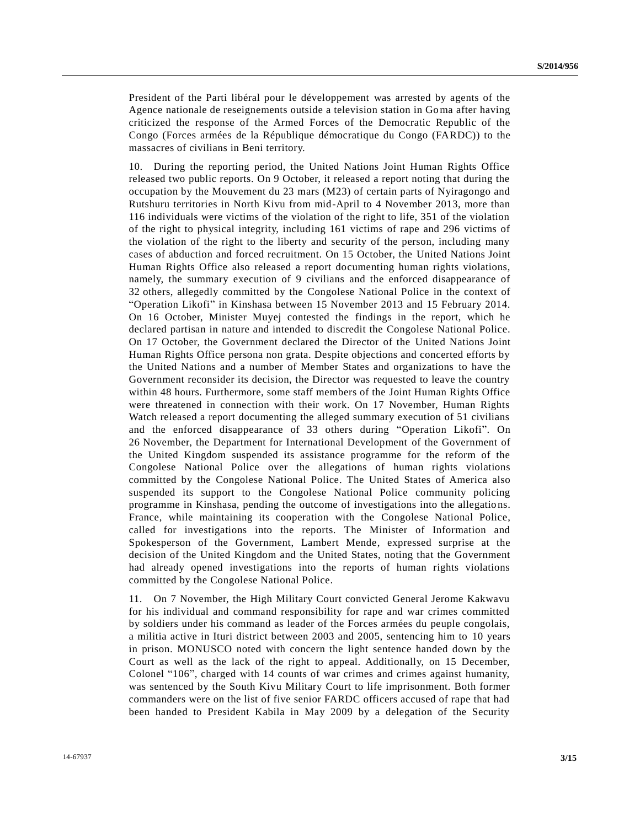President of the Parti libéral pour le développement was arrested by agents of the Agence nationale de reseignements outside a television station in Goma after having criticized the response of the Armed Forces of the Democratic Republic of the Congo (Forces armées de la République démocratique du Congo (FARDC)) to the massacres of civilians in Beni territory.

10. During the reporting period, the United Nations Joint Human Rights Office released two public reports. On 9 October, it released a report noting that during the occupation by the Mouvement du 23 mars (M23) of certain parts of Nyiragongo and Rutshuru territories in North Kivu from mid-April to 4 November 2013, more than 116 individuals were victims of the violation of the right to life, 351 of the violation of the right to physical integrity, including 161 victims of rape and 296 victims of the violation of the right to the liberty and security of the person, including many cases of abduction and forced recruitment. On 15 October, the United Nations Joint Human Rights Office also released a report documenting human rights violations, namely, the summary execution of 9 civilians and the enforced disappearance of 32 others, allegedly committed by the Congolese National Police in the context of "Operation Likofi" in Kinshasa between 15 November 2013 and 15 February 2014. On 16 October, Minister Muyej contested the findings in the report, which he declared partisan in nature and intended to discredit the Congolese National Police. On 17 October, the Government declared the Director of the United Nations Joint Human Rights Office persona non grata. Despite objections and concerted efforts by the United Nations and a number of Member States and organizations to have the Government reconsider its decision, the Director was requested to leave the country within 48 hours. Furthermore, some staff members of the Joint Human Rights Office were threatened in connection with their work. On 17 November, Human Rights Watch released a report documenting the alleged summary execution of 51 civilians and the enforced disappearance of 33 others during "Operation Likofi". On 26 November, the Department for International Development of the Government of the United Kingdom suspended its assistance programme for the reform of the Congolese National Police over the allegations of human rights violations committed by the Congolese National Police. The United States of America also suspended its support to the Congolese National Police community policing programme in Kinshasa, pending the outcome of investigations into the allegatio ns. France, while maintaining its cooperation with the Congolese National Police, called for investigations into the reports. The Minister of Information and Spokesperson of the Government, Lambert Mende, expressed surprise at the decision of the United Kingdom and the United States, noting that the Government had already opened investigations into the reports of human rights violations committed by the Congolese National Police.

11. On 7 November, the High Military Court convicted General Jerome Kakwavu for his individual and command responsibility for rape and war crimes committed by soldiers under his command as leader of the Forces armées du peuple congolais, a militia active in Ituri district between 2003 and 2005, sentencing him to 10 years in prison. MONUSCO noted with concern the light sentence handed down by the Court as well as the lack of the right to appeal. Additionally, on 15 December, Colonel "106", charged with 14 counts of war crimes and crimes against humanity, was sentenced by the South Kivu Military Court to life imprisonment. Both former commanders were on the list of five senior FARDC officers accused of rape that had been handed to President Kabila in May 2009 by a delegation of the Security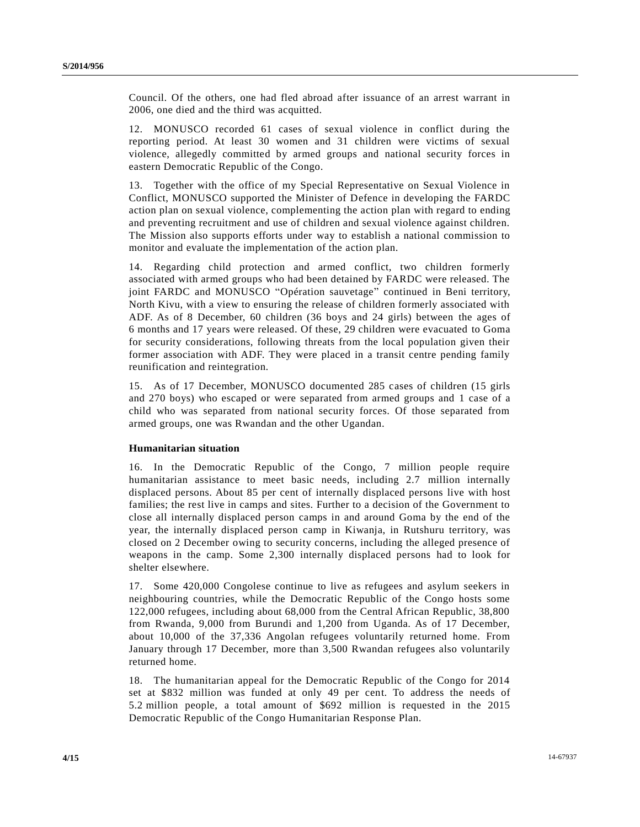Council. Of the others, one had fled abroad after issuance of an arrest warrant in 2006, one died and the third was acquitted.

12. MONUSCO recorded 61 cases of sexual violence in conflict during the reporting period. At least 30 women and 31 children were victims of sexual violence, allegedly committed by armed groups and national security forces in eastern Democratic Republic of the Congo.

13. Together with the office of my Special Representative on Sexual Violence in Conflict, MONUSCO supported the Minister of Defence in developing the FARDC action plan on sexual violence, complementing the action plan with regard to ending and preventing recruitment and use of children and sexual violence against children. The Mission also supports efforts under way to establish a national commission to monitor and evaluate the implementation of the action plan.

14. Regarding child protection and armed conflict, two children formerly associated with armed groups who had been detained by FARDC were released. The joint FARDC and MONUSCO "Opération sauvetage" continued in Beni territory, North Kivu, with a view to ensuring the release of children formerly associated with ADF. As of 8 December, 60 children (36 boys and 24 girls) between the ages of 6 months and 17 years were released. Of these, 29 children were evacuated to Goma for security considerations, following threats from the local population given their former association with ADF. They were placed in a transit centre pending family reunification and reintegration.

15. As of 17 December, MONUSCO documented 285 cases of children (15 girls and 270 boys) who escaped or were separated from armed groups and 1 case of a child who was separated from national security forces. Of those separated from armed groups, one was Rwandan and the other Ugandan.

#### **Humanitarian situation**

16. In the Democratic Republic of the Congo, 7 million people require humanitarian assistance to meet basic needs, including 2.7 million internally displaced persons. About 85 per cent of internally displaced persons live with host families; the rest live in camps and sites. Further to a decision of the Government to close all internally displaced person camps in and around Goma by the end of the year, the internally displaced person camp in Kiwanja, in Rutshuru territory, was closed on 2 December owing to security concerns, including the alleged presence of weapons in the camp. Some 2,300 internally displaced persons had to look for shelter elsewhere.

17. Some 420,000 Congolese continue to live as refugees and asylum seekers in neighbouring countries, while the Democratic Republic of the Congo hosts some 122,000 refugees, including about 68,000 from the Central African Republic, 38,800 from Rwanda, 9,000 from Burundi and 1,200 from Uganda. As of 17 December, about 10,000 of the 37,336 Angolan refugees voluntarily returned home. From January through 17 December, more than 3,500 Rwandan refugees also voluntarily returned home.

18. The humanitarian appeal for the Democratic Republic of the Congo for 2014 set at \$832 million was funded at only 49 per cent. To address the needs of 5.2 million people, a total amount of \$692 million is requested in the 2015 Democratic Republic of the Congo Humanitarian Response Plan.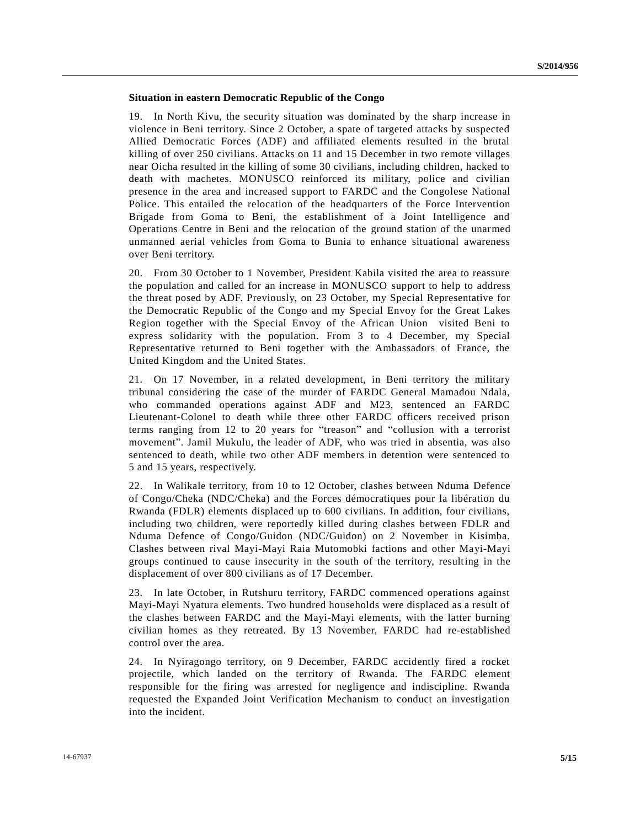### **Situation in eastern Democratic Republic of the Congo**

19. In North Kivu, the security situation was dominated by the sharp increase in violence in Beni territory. Since 2 October, a spate of targeted attacks by suspected Allied Democratic Forces (ADF) and affiliated elements resulted in the brutal killing of over 250 civilians. Attacks on 11 and 15 December in two remote villages near Oicha resulted in the killing of some 30 civilians, including children, hacked to death with machetes. MONUSCO reinforced its military, police and civilian presence in the area and increased support to FARDC and the Congolese National Police. This entailed the relocation of the headquarters of the Force Intervention Brigade from Goma to Beni, the establishment of a Joint Intelligence and Operations Centre in Beni and the relocation of the ground station of the unarmed unmanned aerial vehicles from Goma to Bunia to enhance situational awareness over Beni territory.

20. From 30 October to 1 November, President Kabila visited the area to reassure the population and called for an increase in MONUSCO support to help to address the threat posed by ADF. Previously, on 23 October, my Special Representative for the Democratic Republic of the Congo and my Special Envoy for the Great Lakes Region together with the Special Envoy of the African Union visited Beni to express solidarity with the population. From 3 to 4 December, my Special Representative returned to Beni together with the Ambassadors of France, the United Kingdom and the United States.

21. On 17 November, in a related development, in Beni territory the military tribunal considering the case of the murder of FARDC General Mamadou Ndala, who commanded operations against ADF and M23, sentenced an FARDC Lieutenant-Colonel to death while three other FARDC officers received prison terms ranging from 12 to 20 years for "treason" and "collusion with a terrorist movement". Jamil Mukulu, the leader of ADF, who was tried in absentia, was also sentenced to death, while two other ADF members in detention were sentenced to 5 and 15 years, respectively.

22. In Walikale territory, from 10 to 12 October, clashes between Nduma Defence of Congo/Cheka (NDC/Cheka) and the Forces démocratiques pour la libération du Rwanda (FDLR) elements displaced up to 600 civilians. In addition, four civilians, including two children, were reportedly killed during clashes between FDLR and Nduma Defence of Congo/Guidon (NDC/Guidon) on 2 November in Kisimba. Clashes between rival Mayi-Mayi Raia Mutomobki factions and other Mayi-Mayi groups continued to cause insecurity in the south of the territory, resulting in the displacement of over 800 civilians as of 17 December.

23. In late October, in Rutshuru territory, FARDC commenced operations against Mayi-Mayi Nyatura elements. Two hundred households were displaced as a result of the clashes between FARDC and the Mayi-Mayi elements, with the latter burning civilian homes as they retreated. By 13 November, FARDC had re-established control over the area.

24. In Nyiragongo territory, on 9 December, FARDC accidently fired a rocket projectile, which landed on the territory of Rwanda. The FARDC element responsible for the firing was arrested for negligence and indiscipline. Rwanda requested the Expanded Joint Verification Mechanism to conduct an investigation into the incident.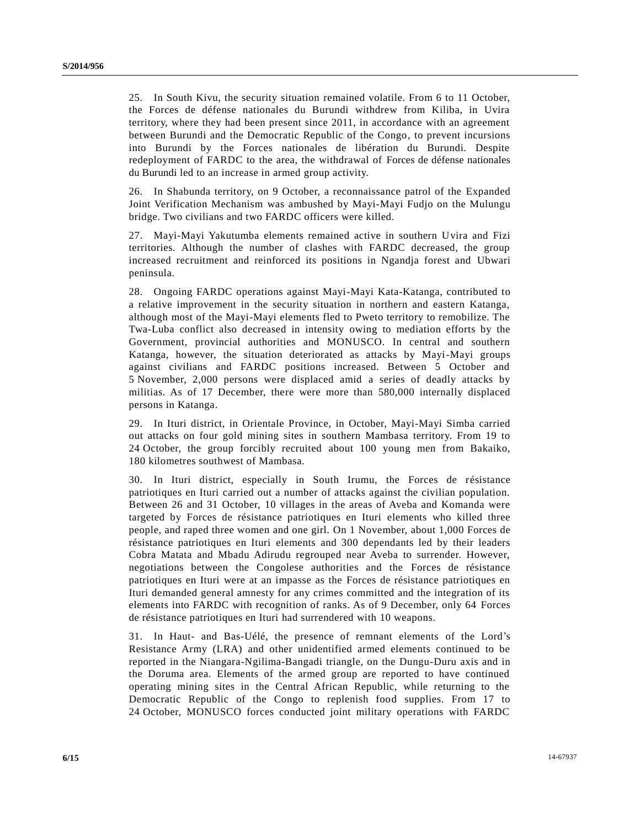25. In South Kivu, the security situation remained volatile. From 6 to 11 October, the Forces de défense nationales du Burundi withdrew from Kiliba, in Uvira territory, where they had been present since 2011, in accordance with an agreement between Burundi and the Democratic Republic of the Congo, to prevent incursions into Burundi by the Forces nationales de libération du Burundi. Despite redeployment of FARDC to the area, the withdrawal of Forces de défense nationales du Burundi led to an increase in armed group activity.

26. In Shabunda territory, on 9 October, a reconnaissance patrol of the Expanded Joint Verification Mechanism was ambushed by Mayi-Mayi Fudjo on the Mulungu bridge. Two civilians and two FARDC officers were killed.

27. Mayi-Mayi Yakutumba elements remained active in southern Uvira and Fizi territories. Although the number of clashes with FARDC decreased, the group increased recruitment and reinforced its positions in Ngandja forest and Ubwari peninsula.

28. Ongoing FARDC operations against Mayi-Mayi Kata-Katanga, contributed to a relative improvement in the security situation in northern and eastern Katanga, although most of the Mayi-Mayi elements fled to Pweto territory to remobilize. The Twa-Luba conflict also decreased in intensity owing to mediation efforts by the Government, provincial authorities and MONUSCO. In central and southern Katanga, however, the situation deteriorated as attacks by Mayi-Mayi groups against civilians and FARDC positions increased. Between 5 October and 5 November, 2,000 persons were displaced amid a series of deadly attacks by militias. As of 17 December, there were more than 580,000 internally displaced persons in Katanga.

29. In Ituri district, in Orientale Province, in October, Mayi-Mayi Simba carried out attacks on four gold mining sites in southern Mambasa territory. From 19 to 24 October, the group forcibly recruited about 100 young men from Bakaiko, 180 kilometres southwest of Mambasa.

30. In Ituri district, especially in South Irumu, the Forces de résistance patriotiques en Ituri carried out a number of attacks against the civilian population. Between 26 and 31 October, 10 villages in the areas of Aveba and Komanda were targeted by Forces de résistance patriotiques en Ituri elements who killed three people, and raped three women and one girl. On 1 November, about 1,000 Forces de résistance patriotiques en Ituri elements and 300 dependants led by their leaders Cobra Matata and Mbadu Adirudu regrouped near Aveba to surrender. However, negotiations between the Congolese authorities and the Forces de résistance patriotiques en Ituri were at an impasse as the Forces de résistance patriotiques en Ituri demanded general amnesty for any crimes committed and the integration of its elements into FARDC with recognition of ranks. As of 9 December, only 64 Forces de résistance patriotiques en Ituri had surrendered with 10 weapons.

31. In Haut- and Bas-Uélé, the presence of remnant elements of the Lord's Resistance Army (LRA) and other unidentified armed elements continued to be reported in the Niangara-Ngilima-Bangadi triangle, on the Dungu-Duru axis and in the Doruma area. Elements of the armed group are reported to have continued operating mining sites in the Central African Republic, while returning to the Democratic Republic of the Congo to replenish food supplies. From 17 to 24 October, MONUSCO forces conducted joint military operations with FARDC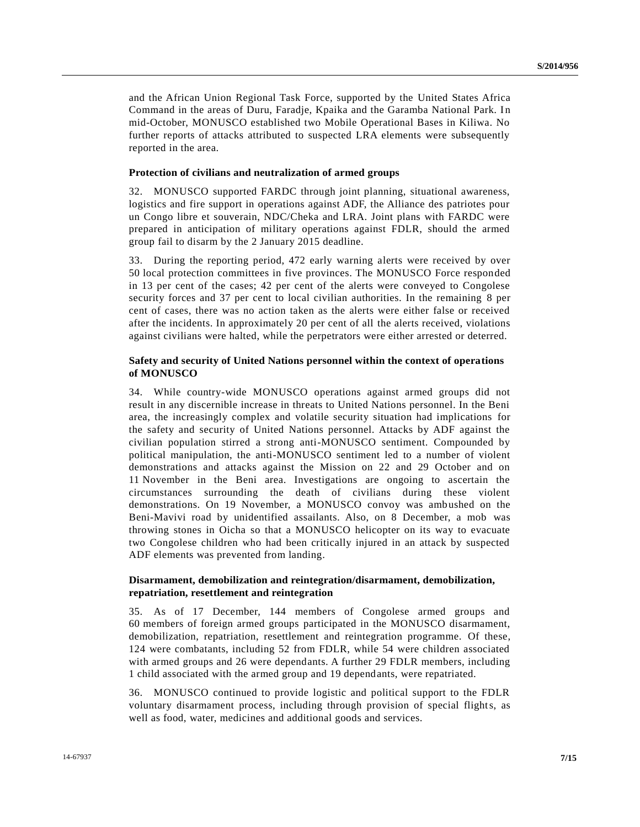and the African Union Regional Task Force, supported by the United States Africa Command in the areas of Duru, Faradje, Kpaika and the Garamba National Park. In mid-October, MONUSCO established two Mobile Operational Bases in Kiliwa. No further reports of attacks attributed to suspected LRA elements were subsequently reported in the area.

### **Protection of civilians and neutralization of armed groups**

32. MONUSCO supported FARDC through joint planning, situational awareness, logistics and fire support in operations against ADF, the Alliance des patriotes pour un Congo libre et souverain, NDC/Cheka and LRA. Joint plans with FARDC were prepared in anticipation of military operations against FDLR, should the armed group fail to disarm by the 2 January 2015 deadline.

33. During the reporting period, 472 early warning alerts were received by over 50 local protection committees in five provinces. The MONUSCO Force responded in 13 per cent of the cases; 42 per cent of the alerts were conveyed to Congolese security forces and 37 per cent to local civilian authorities. In the remaining 8 per cent of cases, there was no action taken as the alerts were either false or received after the incidents. In approximately 20 per cent of all the alerts received, violations against civilians were halted, while the perpetrators were either arrested or deterred.

## **Safety and security of United Nations personnel within the context of operations of MONUSCO**

34. While country-wide MONUSCO operations against armed groups did not result in any discernible increase in threats to United Nations personnel. In the Beni area, the increasingly complex and volatile security situation had implications for the safety and security of United Nations personnel. Attacks by ADF against the civilian population stirred a strong anti-MONUSCO sentiment. Compounded by political manipulation, the anti-MONUSCO sentiment led to a number of violent demonstrations and attacks against the Mission on 22 and 29 October and on 11 November in the Beni area. Investigations are ongoing to ascertain the circumstances surrounding the death of civilians during these violent demonstrations. On 19 November, a MONUSCO convoy was ambushed on the Beni-Mavivi road by unidentified assailants. Also, on 8 December, a mob was throwing stones in Oicha so that a MONUSCO helicopter on its way to evacuate two Congolese children who had been critically injured in an attack by suspected ADF elements was prevented from landing.

## **Disarmament, demobilization and reintegration/disarmament, demobilization, repatriation, resettlement and reintegration**

35. As of 17 December, 144 members of Congolese armed groups and 60 members of foreign armed groups participated in the MONUSCO disarmament, demobilization, repatriation, resettlement and reintegration programme. Of these, 124 were combatants, including 52 from FDLR, while 54 were children associated with armed groups and 26 were dependants. A further 29 FDLR members, including 1 child associated with the armed group and 19 dependants, were repatriated.

36. MONUSCO continued to provide logistic and political support to the FDLR voluntary disarmament process, including through provision of special flights, as well as food, water, medicines and additional goods and services.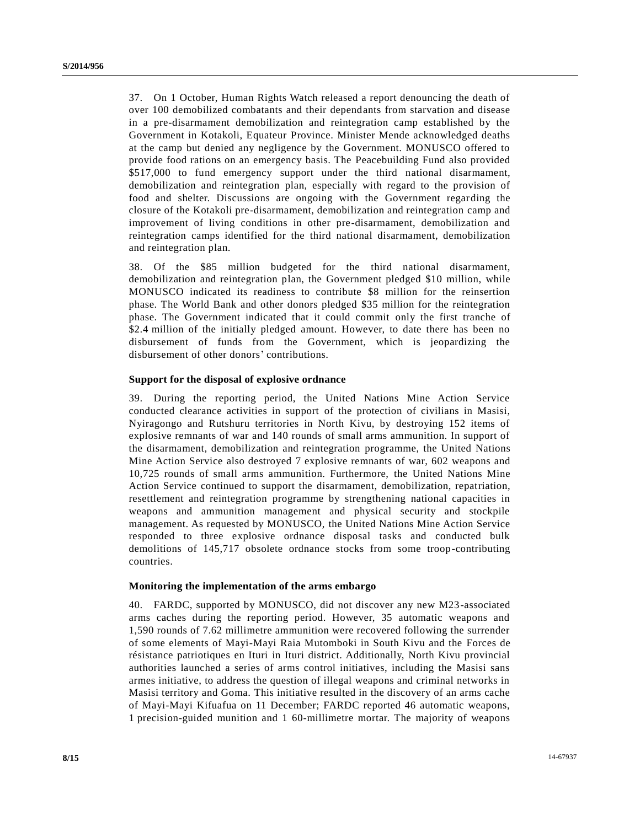37. On 1 October, Human Rights Watch released a report denouncing the death of over 100 demobilized combatants and their dependants from starvation and disease in a pre-disarmament demobilization and reintegration camp established by the Government in Kotakoli, Equateur Province. Minister Mende acknowledged deaths at the camp but denied any negligence by the Government. MONUSCO offered to provide food rations on an emergency basis. The Peacebuilding Fund also provided \$517,000 to fund emergency support under the third national disarmament, demobilization and reintegration plan, especially with regard to the provision of food and shelter. Discussions are ongoing with the Government regarding the closure of the Kotakoli pre-disarmament, demobilization and reintegration camp and improvement of living conditions in other pre-disarmament, demobilization and reintegration camps identified for the third national disarmament, demobilization and reintegration plan.

38. Of the \$85 million budgeted for the third national disarmament, demobilization and reintegration plan, the Government pledged \$10 million, while MONUSCO indicated its readiness to contribute \$8 million for the reinsertion phase. The World Bank and other donors pledged \$35 million for the reintegration phase. The Government indicated that it could commit only the first tranche of \$2.4 million of the initially pledged amount. However, to date there has been no disbursement of funds from the Government, which is jeopardizing the disbursement of other donors' contributions.

## **Support for the disposal of explosive ordnance**

39. During the reporting period, the United Nations Mine Action Service conducted clearance activities in support of the protection of civilians in Masisi, Nyiragongo and Rutshuru territories in North Kivu, by destroying 152 items of explosive remnants of war and 140 rounds of small arms ammunition. In support of the disarmament, demobilization and reintegration programme, the United Nations Mine Action Service also destroyed 7 explosive remnants of war, 602 weapons and 10,725 rounds of small arms ammunition. Furthermore, the United Nations Mine Action Service continued to support the disarmament, demobilization, repatriation, resettlement and reintegration programme by strengthening national capacities in weapons and ammunition management and physical security and stockpile management. As requested by MONUSCO, the United Nations Mine Action Service responded to three explosive ordnance disposal tasks and conducted bulk demolitions of 145,717 obsolete ordnance stocks from some troop-contributing countries.

## **Monitoring the implementation of the arms embargo**

40. FARDC, supported by MONUSCO, did not discover any new M23-associated arms caches during the reporting period. However, 35 automatic weapons and 1,590 rounds of 7.62 millimetre ammunition were recovered following the surrender of some elements of Mayi-Mayi Raia Mutomboki in South Kivu and the Forces de résistance patriotiques en Ituri in Ituri district. Additionally, North Kivu provincial authorities launched a series of arms control initiatives, including the Masisi sans armes initiative, to address the question of illegal weapons and criminal networks in Masisi territory and Goma. This initiative resulted in the discovery of an arms cache of Mayi-Mayi Kifuafua on 11 December; FARDC reported 46 automatic weapons, 1 precision-guided munition and 1 60-millimetre mortar. The majority of weapons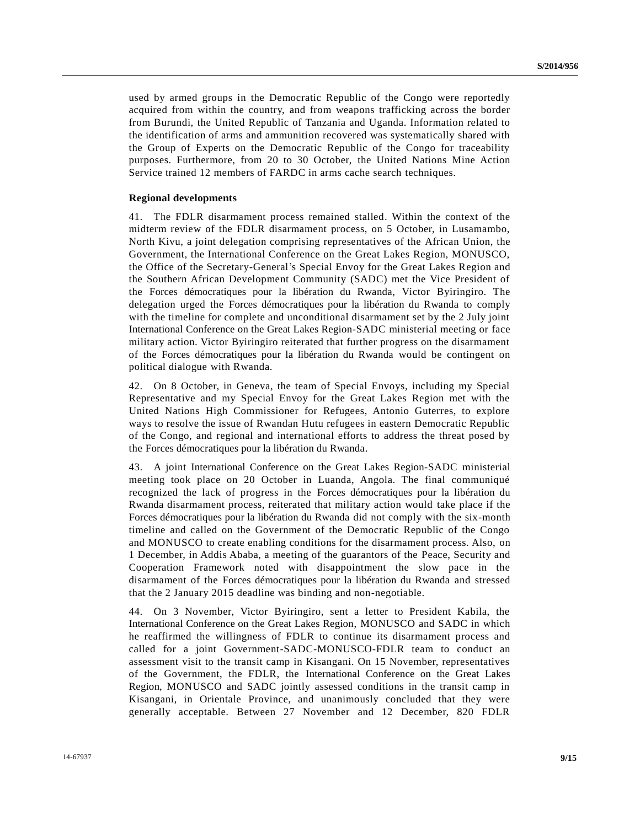used by armed groups in the Democratic Republic of the Congo were reportedly acquired from within the country, and from weapons trafficking across the border from Burundi, the United Republic of Tanzania and Uganda. Information related to the identification of arms and ammunition recovered was systematically shared with the Group of Experts on the Democratic Republic of the Congo for traceability purposes. Furthermore, from 20 to 30 October, the United Nations Mine Action Service trained 12 members of FARDC in arms cache search techniques.

#### **Regional developments**

41. The FDLR disarmament process remained stalled. Within the context of the midterm review of the FDLR disarmament process, on 5 October, in Lusamambo, North Kivu, a joint delegation comprising representatives of the African Union, the Government, the International Conference on the Great Lakes Region, MONUSCO, the Office of the Secretary-General's Special Envoy for the Great Lakes Region and the Southern African Development Community (SADC) met the Vice President of the Forces démocratiques pour la libération du Rwanda, Victor Byiringiro. The delegation urged the Forces démocratiques pour la libération du Rwanda to comply with the timeline for complete and unconditional disarmament set by the 2 July joint International Conference on the Great Lakes Region-SADC ministerial meeting or face military action. Victor Byiringiro reiterated that further progress on the disarmament of the Forces démocratiques pour la libération du Rwanda would be contingent on political dialogue with Rwanda.

42. On 8 October, in Geneva, the team of Special Envoys, including my Special Representative and my Special Envoy for the Great Lakes Region met with the United Nations High Commissioner for Refugees, Antonio Guterres, to explore ways to resolve the issue of Rwandan Hutu refugees in eastern Democratic Republic of the Congo, and regional and international efforts to address the threat posed by the Forces démocratiques pour la libération du Rwanda.

43. A joint International Conference on the Great Lakes Region-SADC ministerial meeting took place on 20 October in Luanda, Angola. The final communiqué recognized the lack of progress in the Forces démocratiques pour la libération du Rwanda disarmament process, reiterated that military action would take place if the Forces démocratiques pour la libération du Rwanda did not comply with the six-month timeline and called on the Government of the Democratic Republic of the Congo and MONUSCO to create enabling conditions for the disarmament process. Also, on 1 December, in Addis Ababa, a meeting of the guarantors of the Peace, Security and Cooperation Framework noted with disappointment the slow pace in the disarmament of the Forces démocratiques pour la libération du Rwanda and stressed that the 2 January 2015 deadline was binding and non-negotiable.

44. On 3 November, Victor Byiringiro, sent a letter to President Kabila, the International Conference on the Great Lakes Region, MONUSCO and SADC in which he reaffirmed the willingness of FDLR to continue its disarmament process and called for a joint Government-SADC-MONUSCO-FDLR team to conduct an assessment visit to the transit camp in Kisangani. On 15 November, representatives of the Government, the FDLR, the International Conference on the Great Lakes Region, MONUSCO and SADC jointly assessed conditions in the transit camp in Kisangani, in Orientale Province, and unanimously concluded that they were generally acceptable. Between 27 November and 12 December, 820 FDLR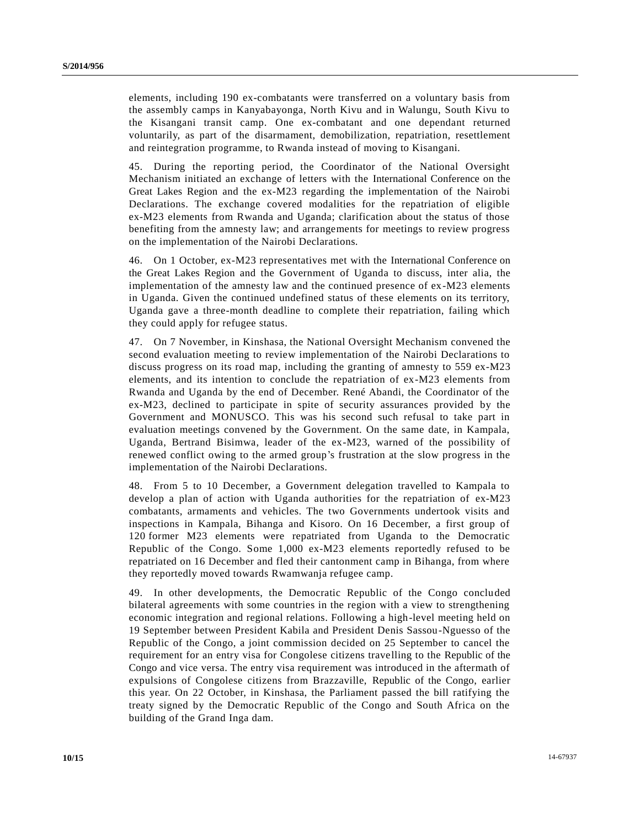elements, including 190 ex-combatants were transferred on a voluntary basis from the assembly camps in Kanyabayonga, North Kivu and in Walungu, South Kivu to the Kisangani transit camp. One ex-combatant and one dependant returned voluntarily, as part of the disarmament, demobilization, repatriation, resettlement and reintegration programme, to Rwanda instead of moving to Kisangani.

45. During the reporting period, the Coordinator of the National Oversight Mechanism initiated an exchange of letters with the International Conference on the Great Lakes Region and the ex-M23 regarding the implementation of the Nairobi Declarations. The exchange covered modalities for the repatriation of eligible ex-M23 elements from Rwanda and Uganda; clarification about the status of those benefiting from the amnesty law; and arrangements for meetings to review progress on the implementation of the Nairobi Declarations.

46. On 1 October, ex-M23 representatives met with the International Conference on the Great Lakes Region and the Government of Uganda to discuss, inter alia, the implementation of the amnesty law and the continued presence of ex-M23 elements in Uganda. Given the continued undefined status of these elements on its territory, Uganda gave a three-month deadline to complete their repatriation, failing which they could apply for refugee status.

47. On 7 November, in Kinshasa, the National Oversight Mechanism convened the second evaluation meeting to review implementation of the Nairobi Declarations to discuss progress on its road map, including the granting of amnesty to 559 ex-M23 elements, and its intention to conclude the repatriation of ex-M23 elements from Rwanda and Uganda by the end of December. René Abandi, the Coordinator of the ex-M23, declined to participate in spite of security assurances provided by the Government and MONUSCO. This was his second such refusal to take part in evaluation meetings convened by the Government. On the same date, in Kampala, Uganda, Bertrand Bisimwa, leader of the ex-M23, warned of the possibility of renewed conflict owing to the armed group's frustration at the slow progress in the implementation of the Nairobi Declarations.

48. From 5 to 10 December, a Government delegation travelled to Kampala to develop a plan of action with Uganda authorities for the repatriation of ex-M23 combatants, armaments and vehicles. The two Governments undertook visits and inspections in Kampala, Bihanga and Kisoro. On 16 December, a first group of 120 former M23 elements were repatriated from Uganda to the Democratic Republic of the Congo. Some 1,000 ex-M23 elements reportedly refused to be repatriated on 16 December and fled their cantonment camp in Bihanga, from where they reportedly moved towards Rwamwanja refugee camp.

49. In other developments, the Democratic Republic of the Congo concluded bilateral agreements with some countries in the region with a view to strengthening economic integration and regional relations. Following a high-level meeting held on 19 September between President Kabila and President Denis Sassou-Nguesso of the Republic of the Congo, a joint commission decided on 25 September to cancel the requirement for an entry visa for Congolese citizens travelling to the Republic of the Congo and vice versa. The entry visa requirement was introduced in the aftermath of expulsions of Congolese citizens from Brazzaville, Republic of the Congo, earlier this year. On 22 October, in Kinshasa, the Parliament passed the bill ratifying the treaty signed by the Democratic Republic of the Congo and South Africa on the building of the Grand Inga dam.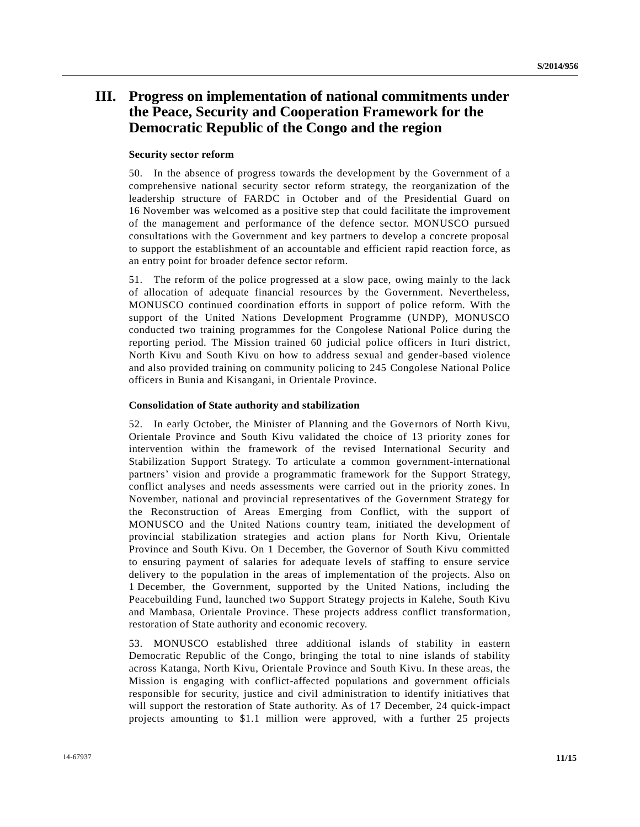## **III. Progress on implementation of national commitments under the Peace, Security and Cooperation Framework for the Democratic Republic of the Congo and the region**

### **Security sector reform**

50. In the absence of progress towards the development by the Government of a comprehensive national security sector reform strategy, the reorganization of the leadership structure of FARDC in October and of the Presidential Guard on 16 November was welcomed as a positive step that could facilitate the improvement of the management and performance of the defence sector. MONUSCO pursued consultations with the Government and key partners to develop a concrete proposal to support the establishment of an accountable and efficient rapid reaction force, as an entry point for broader defence sector reform.

51. The reform of the police progressed at a slow pace, owing mainly to the lack of allocation of adequate financial resources by the Government. Nevertheless, MONUSCO continued coordination efforts in support of police reform. With the support of the United Nations Development Programme (UNDP), MONUSCO conducted two training programmes for the Congolese National Police during the reporting period. The Mission trained 60 judicial police officers in Ituri district, North Kivu and South Kivu on how to address sexual and gender-based violence and also provided training on community policing to 245 Congolese National Police officers in Bunia and Kisangani, in Orientale Province.

### **Consolidation of State authority and stabilization**

52. In early October, the Minister of Planning and the Governors of North Kivu, Orientale Province and South Kivu validated the choice of 13 priority zones for intervention within the framework of the revised International Security and Stabilization Support Strategy. To articulate a common government-international partners' vision and provide a programmatic framework for the Support Strategy, conflict analyses and needs assessments were carried out in the priority zones. In November, national and provincial representatives of the Government Strategy for the Reconstruction of Areas Emerging from Conflict, with the support of MONUSCO and the United Nations country team, initiated the development of provincial stabilization strategies and action plans for North Kivu, Orientale Province and South Kivu. On 1 December, the Governor of South Kivu committed to ensuring payment of salaries for adequate levels of staffing to ensure service delivery to the population in the areas of implementation of the projects. Also on 1 December, the Government, supported by the United Nations, including the Peacebuilding Fund, launched two Support Strategy projects in Kalehe, South Kivu and Mambasa, Orientale Province. These projects address conflict transformation, restoration of State authority and economic recovery.

53. MONUSCO established three additional islands of stability in eastern Democratic Republic of the Congo, bringing the total to nine islands of stability across Katanga, North Kivu, Orientale Province and South Kivu. In these areas, the Mission is engaging with conflict-affected populations and government officials responsible for security, justice and civil administration to identify initiatives that will support the restoration of State authority. As of 17 December, 24 quick-impact projects amounting to \$1.1 million were approved, with a further 25 projects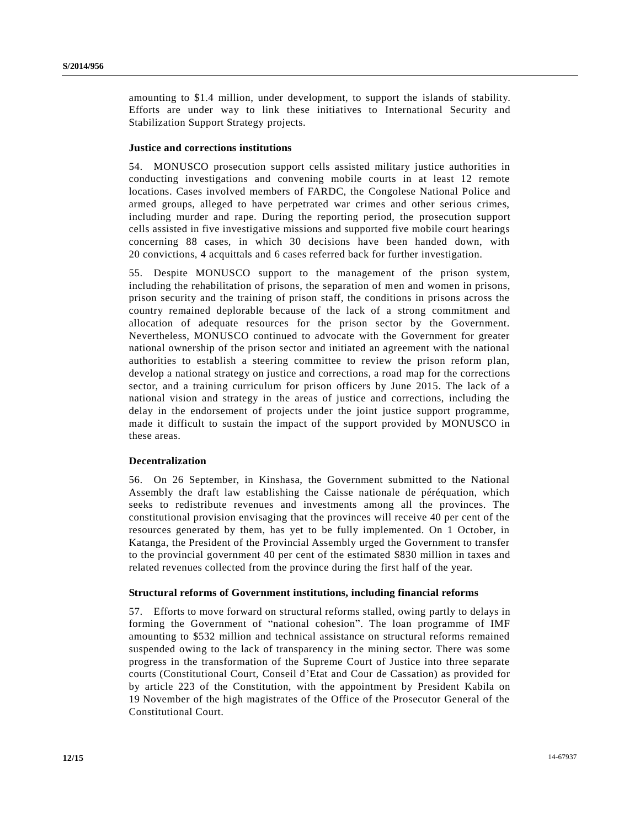amounting to \$1.4 million, under development, to support the islands of stability. Efforts are under way to link these initiatives to International Security and Stabilization Support Strategy projects.

### **Justice and corrections institutions**

54. MONUSCO prosecution support cells assisted military justice authorities in conducting investigations and convening mobile courts in at least 12 remote locations. Cases involved members of FARDC, the Congolese National Police and armed groups, alleged to have perpetrated war crimes and other serious crimes, including murder and rape. During the reporting period, the prosecution support cells assisted in five investigative missions and supported five mobile court hearings concerning 88 cases, in which 30 decisions have been handed down, with 20 convictions, 4 acquittals and 6 cases referred back for further investigation.

55. Despite MONUSCO support to the management of the prison system, including the rehabilitation of prisons, the separation of men and women in prisons, prison security and the training of prison staff, the conditions in prisons across the country remained deplorable because of the lack of a strong commitment and allocation of adequate resources for the prison sector by the Government. Nevertheless, MONUSCO continued to advocate with the Government for greater national ownership of the prison sector and initiated an agreement with the national authorities to establish a steering committee to review the prison reform plan, develop a national strategy on justice and corrections, a road map for the corrections sector, and a training curriculum for prison officers by June 2015. The lack of a national vision and strategy in the areas of justice and corrections, including the delay in the endorsement of projects under the joint justice support programme, made it difficult to sustain the impact of the support provided by MONUSCO in these areas.

## **Decentralization**

56. On 26 September, in Kinshasa, the Government submitted to the National Assembly the draft law establishing the Caisse nationale de péréquation, which seeks to redistribute revenues and investments among all the provinces. The constitutional provision envisaging that the provinces will receive 40 per cent of the resources generated by them, has yet to be fully implemented. On 1 October, in Katanga, the President of the Provincial Assembly urged the Government to transfer to the provincial government 40 per cent of the estimated \$830 million in taxes and related revenues collected from the province during the first half of the year.

#### **Structural reforms of Government institutions, including financial reforms**

57. Efforts to move forward on structural reforms stalled, owing partly to delays in forming the Government of "national cohesion". The loan programme of IMF amounting to \$532 million and technical assistance on structural reforms remained suspended owing to the lack of transparency in the mining sector. There was some progress in the transformation of the Supreme Court of Justice into three separate courts (Constitutional Court, Conseil d'Etat and Cour de Cassation) as provided for by article 223 of the Constitution, with the appointment by President Kabila on 19 November of the high magistrates of the Office of the Prosecutor General of the Constitutional Court.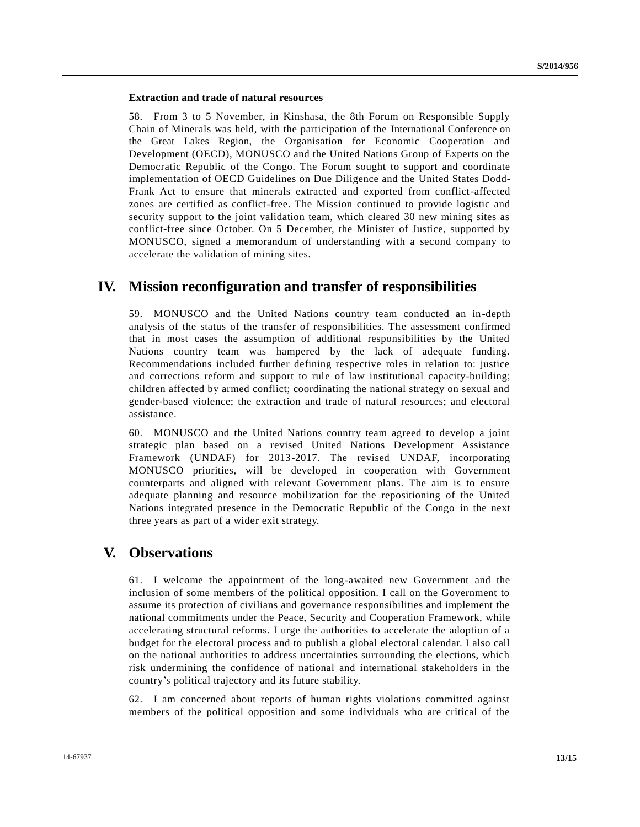## **Extraction and trade of natural resources**

58. From 3 to 5 November, in Kinshasa, the 8th Forum on Responsible Supply Chain of Minerals was held, with the participation of the International Conference on the Great Lakes Region, the Organisation for Economic Cooperation and Development (OECD), MONUSCO and the United Nations Group of Experts on the Democratic Republic of the Congo. The Forum sought to support and coordinate implementation of OECD Guidelines on Due Diligence and the United States Dodd-Frank Act to ensure that minerals extracted and exported from conflict-affected zones are certified as conflict-free. The Mission continued to provide logistic and security support to the joint validation team, which cleared 30 new mining sites as conflict-free since October. On 5 December, the Minister of Justice, supported by MONUSCO, signed a memorandum of understanding with a second company to accelerate the validation of mining sites.

## **IV. Mission reconfiguration and transfer of responsibilities**

59. MONUSCO and the United Nations country team conducted an in-depth analysis of the status of the transfer of responsibilities. The assessment confirmed that in most cases the assumption of additional responsibilities by the United Nations country team was hampered by the lack of adequate funding. Recommendations included further defining respective roles in relation to: justice and corrections reform and support to rule of law institutional capacity-building; children affected by armed conflict; coordinating the national strategy on sexual and gender-based violence; the extraction and trade of natural resources; and electoral assistance.

60. MONUSCO and the United Nations country team agreed to develop a joint strategic plan based on a revised United Nations Development Assistance Framework (UNDAF) for 2013-2017. The revised UNDAF, incorporating MONUSCO priorities, will be developed in cooperation with Government counterparts and aligned with relevant Government plans. The aim is to ensure adequate planning and resource mobilization for the repositioning of the United Nations integrated presence in the Democratic Republic of the Congo in the next three years as part of a wider exit strategy.

## **V. Observations**

61. I welcome the appointment of the long-awaited new Government and the inclusion of some members of the political opposition. I call on the Government to assume its protection of civilians and governance responsibilities and implement the national commitments under the Peace, Security and Cooperation Framework, while accelerating structural reforms. I urge the authorities to accelerate the adoption of a budget for the electoral process and to publish a global electoral calendar. I also call on the national authorities to address uncertainties surrounding the elections, which risk undermining the confidence of national and international stakeholders in the country's political trajectory and its future stability.

62. I am concerned about reports of human rights violations committed against members of the political opposition and some individuals who are critical of the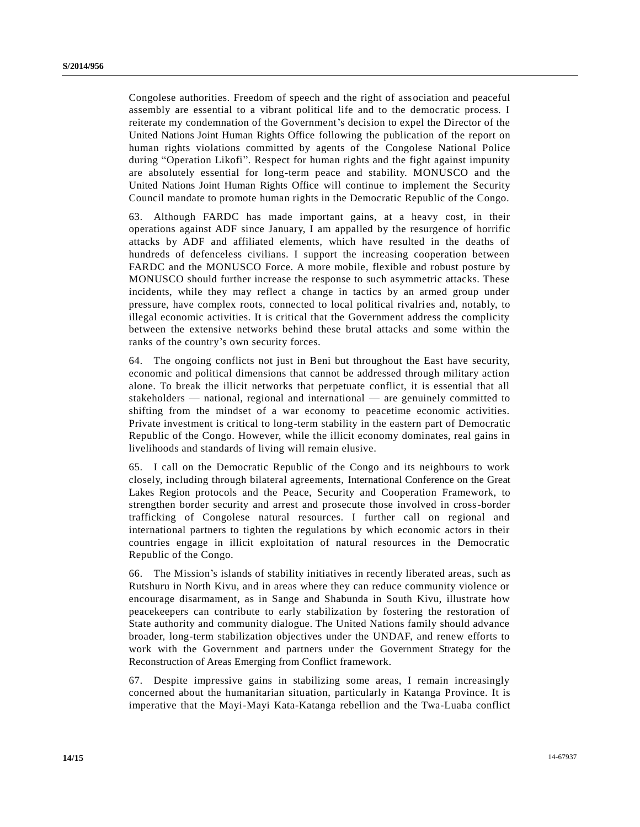Congolese authorities. Freedom of speech and the right of association and peaceful assembly are essential to a vibrant political life and to the democratic process. I reiterate my condemnation of the Government's decision to expel the Director of the United Nations Joint Human Rights Office following the publication of the report on human rights violations committed by agents of the Congolese National Police during "Operation Likofi". Respect for human rights and the fight against impunity are absolutely essential for long-term peace and stability. MONUSCO and the United Nations Joint Human Rights Office will continue to implement the Security Council mandate to promote human rights in the Democratic Republic of the Congo.

63. Although FARDC has made important gains, at a heavy cost, in their operations against ADF since January, I am appalled by the resurgence of horrific attacks by ADF and affiliated elements, which have resulted in the deaths of hundreds of defenceless civilians. I support the increasing cooperation between FARDC and the MONUSCO Force. A more mobile, flexible and robust posture by MONUSCO should further increase the response to such asymmetric attacks. These incidents, while they may reflect a change in tactics by an armed group under pressure, have complex roots, connected to local political rivalries and, notably, to illegal economic activities. It is critical that the Government address the complicity between the extensive networks behind these brutal attacks and some within the ranks of the country's own security forces.

64. The ongoing conflicts not just in Beni but throughout the East have security, economic and political dimensions that cannot be addressed through military action alone. To break the illicit networks that perpetuate conflict, it is essential that all stakeholders — national, regional and international — are genuinely committed to shifting from the mindset of a war economy to peacetime economic activities. Private investment is critical to long-term stability in the eastern part of Democratic Republic of the Congo. However, while the illicit economy dominates, real gains in livelihoods and standards of living will remain elusive.

65. I call on the Democratic Republic of the Congo and its neighbours to work closely, including through bilateral agreements, International Conference on the Great Lakes Region protocols and the Peace, Security and Cooperation Framework, to strengthen border security and arrest and prosecute those involved in cross-border trafficking of Congolese natural resources. I further call on regional and international partners to tighten the regulations by which economic actors in their countries engage in illicit exploitation of natural resources in the Democratic Republic of the Congo.

66. The Mission's islands of stability initiatives in recently liberated areas, such as Rutshuru in North Kivu, and in areas where they can reduce community violence or encourage disarmament, as in Sange and Shabunda in South Kivu, illustrate how peacekeepers can contribute to early stabilization by fostering the restoration of State authority and community dialogue. The United Nations family should advance broader, long-term stabilization objectives under the UNDAF, and renew efforts to work with the Government and partners under the Government Strategy for the Reconstruction of Areas Emerging from Conflict framework.

67. Despite impressive gains in stabilizing some areas, I remain increasingly concerned about the humanitarian situation, particularly in Katanga Province. It is imperative that the Mayi-Mayi Kata-Katanga rebellion and the Twa-Luaba conflict